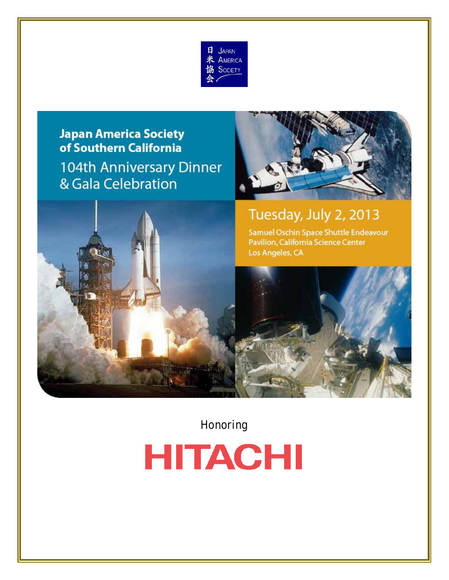

# **Japan America Society** of Southern California 104th Anniversary Dinner & Gala Celebration





Honoring

# **HITACHI**

104th Anniversary Dinner and Anniversary Dinner and Anniversary Dinner and Anniversary Dinner and Anniversary<br>2001 - Carl Celebration 01: 2011 - 2012 - 2014 - 2014 - 2014 - 2014 - 2014 - 2014 - 2014 - 2014 - 2014 - 2014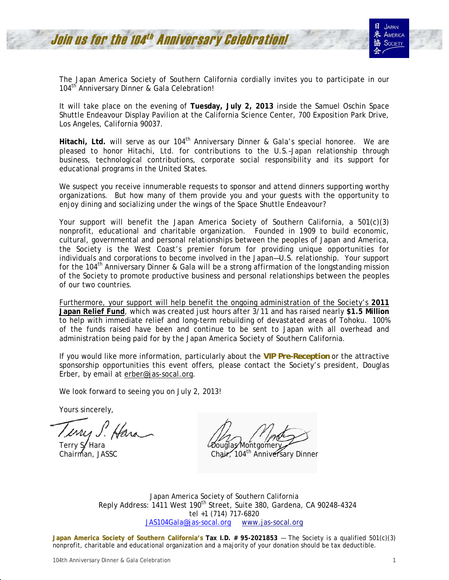The Japan America Society of Southern California cordially invites you to participate in our 104<sup>th</sup> Anniversary Dinner & Gala Celebration!

It will take place on the evening of **Tuesday, July 2, 2013** inside the Samuel Oschin Space Shuttle Endeavour Display Pavilion at the California Science Center, 700 Exposition Park Drive, Los Angeles, California 90037.

Hitachi, Ltd. will serve as our 104<sup>th</sup> Anniversary Dinner & Gala's special honoree. We are pleased to honor Hitachi, Ltd. for contributions to the U.S.–Japan relationship through business, technological contributions, corporate social responsibility and its support for educational programs in the United States.

We suspect you receive innumerable requests to sponsor and attend dinners supporting worthy organizations. But how many of them provide you and your guests with the opportunity to enjoy dining and socializing under the wings of the Space Shuttle Endeavour?

Your support will benefit the Japan America Society of Southern California, a 501(c)(3) nonprofit, educational and charitable organization. Founded in 1909 to build economic, cultural, governmental and personal relationships between the peoples of Japan and America, the Society is the West Coast's premier forum for providing unique opportunities for individuals and corporations to become involved in the Japan—U.S. relationship. Your support for the 104<sup>th</sup> Anniversary Dinner & Gala will be a strong affirmation of the longstanding mission of the Society to promote productive business and personal relationships between the peoples of our two countries.

Furthermore, your support will help benefit the ongoing administration of the Society's **2011 Japan Relief Fund**, which was created just hours after 3/11 and has raised nearly **\$1.5 Million** to help with immediate relief and long-term rebuilding of devastated areas of Tohoku. 100% of the funds raised have been and continue to be sent to Japan with all overhead and administration being paid for by the Japan America Society of Southern California.

If you would like more information, particularly about the *VIP Pre-Reception* or the attractive sponsorship opportunities this event offers, please contact the Society's president, Douglas Erber, by email at erber@jas-socal.org.

We look forward to seeing you on July 2, 2013!

Yours sincerely,

Terry S. Hara Douglas Montgomery

Chairman, JASSC Chair, 104<sup>th</sup> Anniversary Dinner

Japan America Society of Southern California Reply Address: 1411 West 190<sup>th</sup> Street, Suite 380, Gardena, CA 90248-4324 tel +1 (714) 717-6820 JAS104Gala@jas-socal.org www.jas-socal.org

**Japan America Society of Southern California's Tax I.D. # 95-2021853 - The Society is a qualified 501(c)(3)** nonprofit, charitable and educational organization and a majority of your donation should be tax deductible.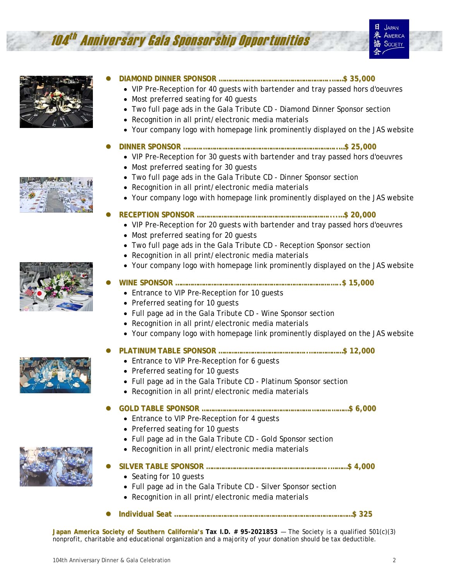# 104 th Anniversary Gala Sponsorship Opportunities





- z **DIAMOND DINNER SPONSOR …………………………………………………..……\$ 35,000**
	- VIP Pre-Reception for 40 quests with bartender and tray passed hors d'oeuvres
		- Most preferred seating for 40 guests
		- Two full page ads in the Gala Tribute CD Diamond Dinner Sponsor section
		- Recognition in all print/electronic media materials
	- Your company logo with homepage link prominently displayed on the JAS website
- z **DINNER SPONSOR ……….……………………………………………………………..…\$ 25,000**
	- VIP Pre-Reception for 30 guests with bartender and tray passed hors d'oeuvres
	- Most preferred seating for 30 guests
	- Two full page ads in the Gala Tribute CD Dinner Sponsor section
	- Recognition in all print/electronic media materials
	- Your company logo with homepage link prominently displayed on the JAS website

#### z **RECEPTION SPONSOR ……………………………………………………………....…\$ 20,000**

- VIP Pre-Reception for 20 guests with bartender and tray passed hors d'oeuvres
- Most preferred seating for 20 guests
- Two full page ads in the Gala Tribute CD Reception Sponsor section
- Recognition in all print/electronic media materials
- Your company logo with homepage link prominently displayed on the JAS website
- z **WINE SPONSOR ……………………………………………………………………….…..\$ 15,000**
	- Entrance to VIP Pre-Reception for 10 guests
	- Preferred seating for 10 guests
	- Full page ad in the Gala Tribute CD Wine Sponsor section
	- Recognition in all print/electronic media materials
	- Your company logo with homepage link prominently displayed on the JAS website



- z **PLATINUM TABLE SPONSOR ………………………………………..………………\$ 12,000**
	- Entrance to VIP Pre-Reception for 6 guests
	- Preferred seating for 10 guests
	- Full page ad in the Gala Tribute CD Platinum Sponsor section
	- Recognition in all print/electronic media materials

- Entrance to VIP Pre-Reception for 4 guests
- Preferred seating for 10 guests
- Full page ad in the Gala Tribute CD Gold Sponsor section
- Recognition in all print/electronic media materials
- z **SILVER TABLE SPONSOR ………………………………………………………..………\$ 4,000**
	- Seating for 10 guests
	- Full page ad in the Gala Tribute CD Silver Sponsor section
	- Recognition in all print/electronic media materials
- z **Individual Seat …………………………….……………………………………………………\$ 325**

**Japan America Society of Southern California's Tax I.D. # 95-2021853 — The Society is a qualified 501(c)(3)** nonprofit, charitable and educational organization and a majority of your donation should be tax deductible.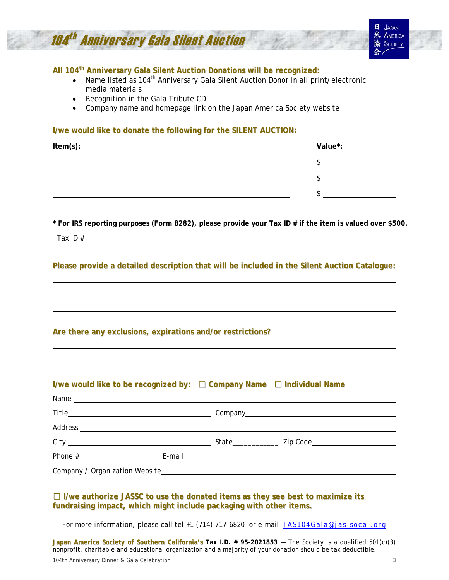

**All 104th Anniversary Gala Silent Auction Donations will be recognized:**

- Name listed as 104<sup>th</sup> Anniversary Gala Silent Auction Donor in all print/electronic media materials
- Recognition in the Gala Tribute CD
- Company name and homepage link on the Japan America Society website

#### **I/we would like to donate the following for the SILENT AUCTION:**

| Item(s): | Value*: |  |
|----------|---------|--|
|          |         |  |
|          |         |  |
|          |         |  |

**\* For IRS reporting purposes (Form 8282), please provide your Tax ID # if the item is valued over \$500.**  Tax ID # \_\_\_\_\_\_\_\_\_\_\_\_\_\_\_\_\_\_\_\_\_\_\_\_\_\_

**Please provide a detailed description that will be included in the Silent Auction Catalogue:**

#### **Are there any exclusions, expirations and/or restrictions?**

# **I/we would like to be recognized by:** □ **Company Name** □ **Individual Name**

| Phone $#$ | E-mail <u>__________________</u> |  |
|-----------|----------------------------------|--|
|           |                                  |  |

#### □ **I/we authorize JASSC to use the donated items as they see best to maximize its fundraising impact, which might include packaging with other items.**

For more information, please call tel +1 (714) 717-6820 or e-mail JAS104Gala@jas-socal.org

**Japan America Society of Southern California's Tax I.D. # 95-2021853 - The Society is a qualified 501(c)(3)** nonprofit, charitable and educational organization and a majority of your donation should be tax deductible.

104th Anniversary Dinner & Gala Celebration 3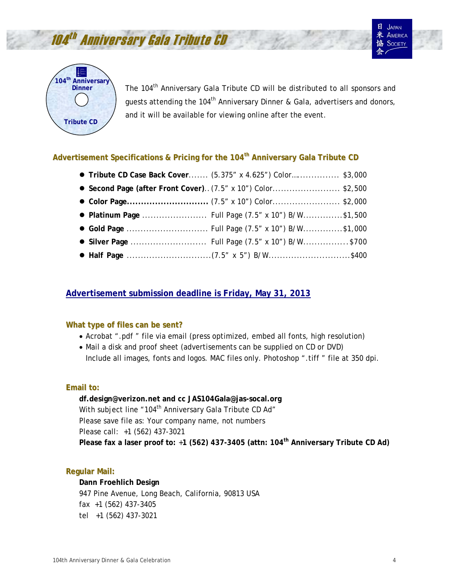



**JAPAN AMERICA** SOCIETY



The 104<sup>th</sup> Anniversary Gala Tribute CD will be distributed to all sponsors and quests attending the 104<sup>th</sup> Anniversary Dinner & Gala, advertisers and donors, and it will be available for viewing online after the event.

# **Advertisement Specifications & Pricing for the 104th Anniversary Gala Tribute CD**

|  | ● Tribute CD Case Back Cover (5.375" x 4.625") Color \$3,000 |  |
|--|--------------------------------------------------------------|--|
|  | • Second Page (after Front Cover) (7.5" x 10") Color\$2,500  |  |
|  |                                                              |  |
|  |                                                              |  |
|  |                                                              |  |
|  |                                                              |  |
|  |                                                              |  |

# **Advertisement submission deadline is Friday, May 31, 2013**

# **What type of files can be sent?**

- Acrobat ".pdf " file via email (press optimized, embed all fonts, high resolution)
- Mail a disk and proof sheet (advertisements can be supplied on CD or DVD) Include all images, fonts and logos. MAC files only. Photoshop ".tiff " file at 350 dpi.

# **Email to:**

**df.design@verizon.net and cc JAS104Gala@jas-socal.org**  With subject line "104<sup>th</sup> Anniversary Gala Tribute CD Ad" Please save file as: Your company name, not numbers Please call: +1 (562) 437-3021 **Please fax a laser proof to:** +**1 (562) 437-3405 (attn: 104th Anniversary Tribute CD Ad)** 

# **Regular Mail:**

#### **Dann Froehlich Design**

947 Pine Avenue, Long Beach, California, 90813 USA fax +1 (562) 437-3405 tel +1 (562) 437-3021